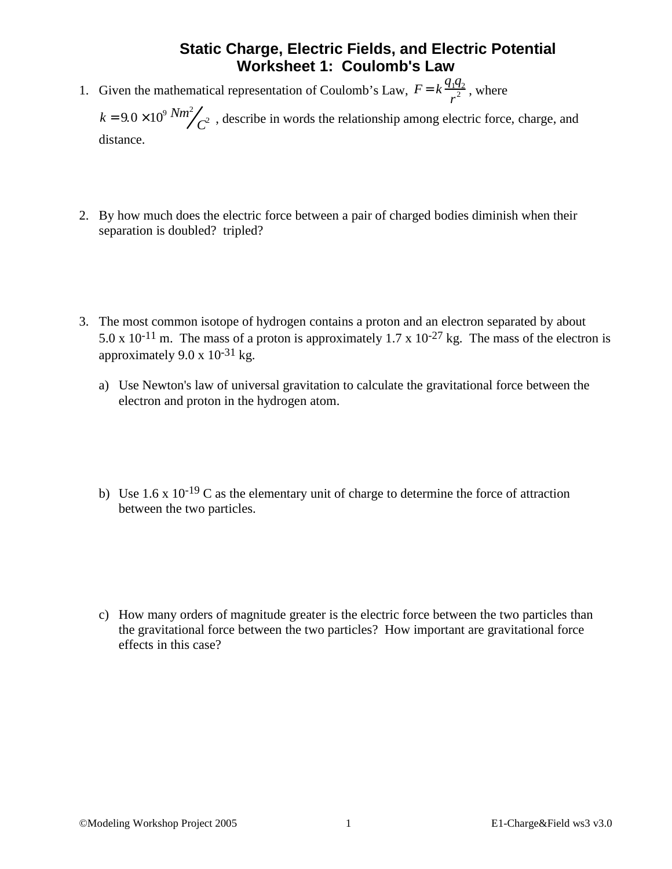## **Static Charge, Electric Fields, and Electric Potential Worksheet 1: Coulomb's Law**

1. Given the mathematical representation of Coulomb's Law,  $F = k \frac{q_1 q_2}{r^2}$  $\frac{12}{r^2}$ , where

 $k = 9.0 \times 10^9 \frac{Nm^2}{C^2}$ , describe in words the relationship among electric force, charge, and distance.

- 2. By how much does the electric force between a pair of charged bodies diminish when their separation is doubled? tripled?
- 3. The most common isotope of hydrogen contains a proton and an electron separated by about 5.0 x 10<sup>-11</sup> m. The mass of a proton is approximately 1.7 x 10<sup>-27</sup> kg. The mass of the electron is approximately 9.0 x  $10^{-31}$  kg.
	- a) Use Newton's law of universal gravitation to calculate the gravitational force between the electron and proton in the hydrogen atom.
	- b) Use  $1.6 \times 10^{-19}$  C as the elementary unit of charge to determine the force of attraction between the two particles.

c) How many orders of magnitude greater is the electric force between the two particles than the gravitational force between the two particles? How important are gravitational force effects in this case?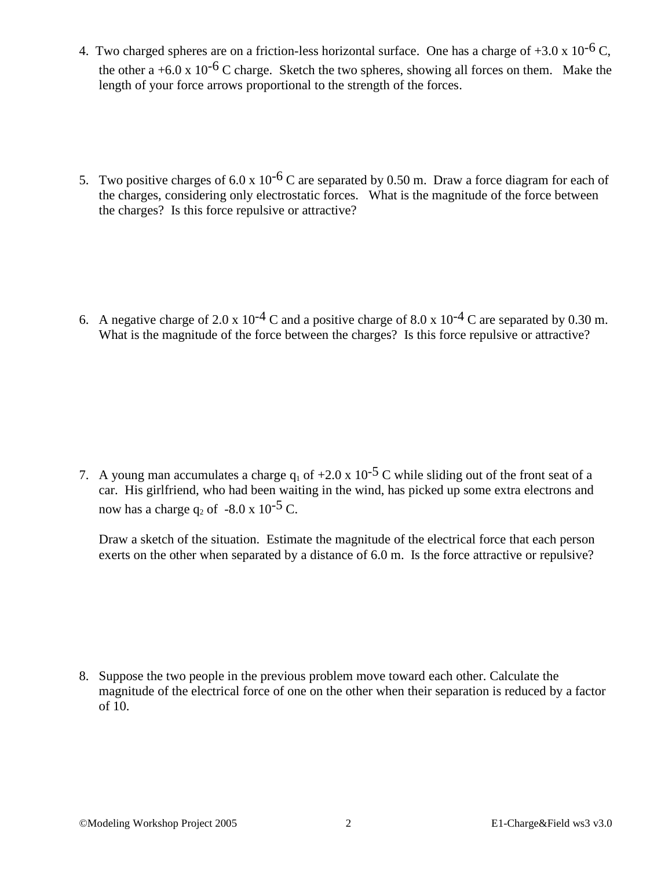- 4. Two charged spheres are on a friction-less horizontal surface. One has a charge of  $+3.0 \times 10^{-6}$  C, the other a +6.0 x 10<sup>-6</sup> C charge. Sketch the two spheres, showing all forces on them. Make the length of your force arrows proportional to the strength of the forces.
- 5. Two positive charges of 6.0 x  $10^{-6}$  C are separated by 0.50 m. Draw a force diagram for each of the charges, considering only electrostatic forces. What is the magnitude of the force between the charges? Is this force repulsive or attractive?

6. A negative charge of 2.0 x  $10^{-4}$  C and a positive charge of 8.0 x  $10^{-4}$  C are separated by 0.30 m. What is the magnitude of the force between the charges? Is this force repulsive or attractive?

7. A young man accumulates a charge  $q_1$  of  $+2.0 \times 10^{-5}$  C while sliding out of the front seat of a car. His girlfriend, who had been waiting in the wind, has picked up some extra electrons and now has a charge q<sub>2</sub> of  $-8.0 \times 10^{-5}$  C.

Draw a sketch of the situation. Estimate the magnitude of the electrical force that each person exerts on the other when separated by a distance of 6.0 m. Is the force attractive or repulsive?

8. Suppose the two people in the previous problem move toward each other. Calculate the magnitude of the electrical force of one on the other when their separation is reduced by a factor of 10.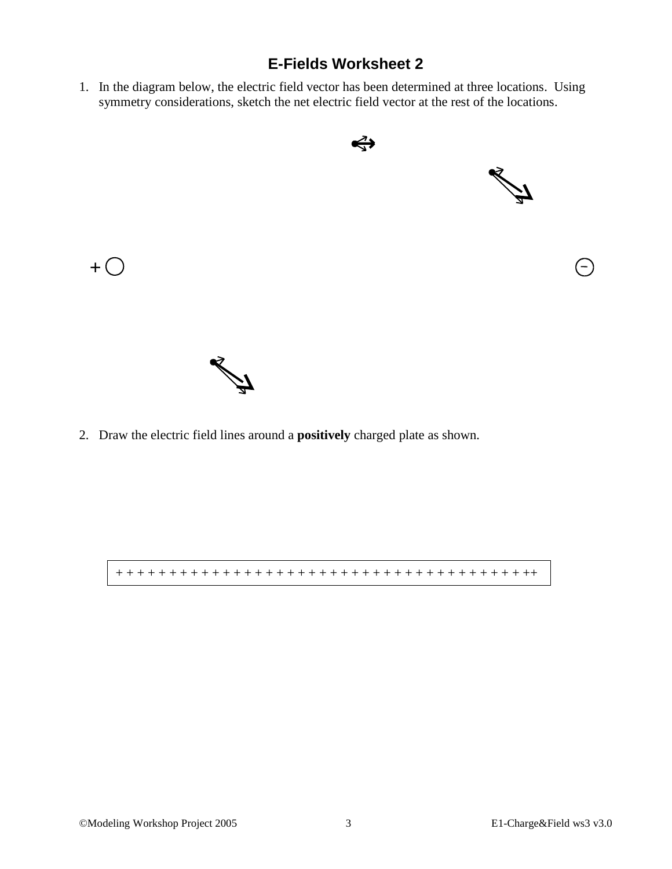## **E-Fields Worksheet 2**

1. In the diagram below, the electric field vector has been determined at three locations. Using symmetry considerations, sketch the net electric field vector at the rest of the locations.



2. Draw the electric field lines around a **positively** charged plate as shown.

+ + + + + + + + + + + + + + + + + + + + + + + + + + + + + + + + + + + + + + ++

 $+$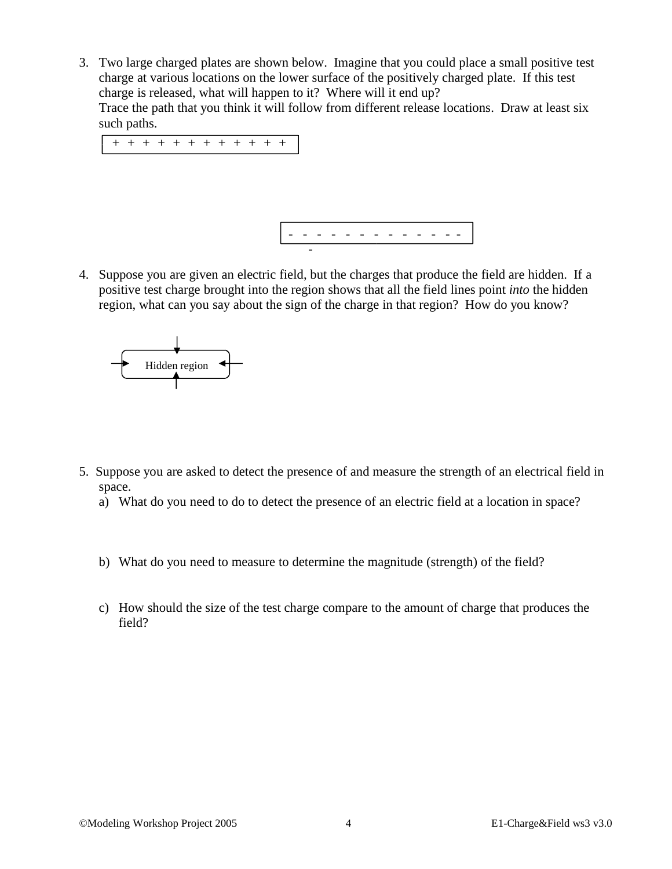3. Two large charged plates are shown below. Imagine that you could place a small positive test charge at various locations on the lower surface of the positively charged plate. If this test charge is released, what will happen to it? Where will it end up? Trace the path that you think it will follow from different release locations. Draw at least six such paths. + + + + + + + + + +



4. Suppose you are given an electric field, but the charges that produce the field are hidden. If a positive test charge brought into the region shows that all the field lines point *into* the hidden region, what can you say about the sign of the charge in that region? How do you know?



- 5. Suppose you are asked to detect the presence of and measure the strength of an electrical field in space.
	- a) What do you need to do to detect the presence of an electric field at a location in space?
	- b) What do you need to measure to determine the magnitude (strength) of the field?
	- c) How should the size of the test charge compare to the amount of charge that produces the field?